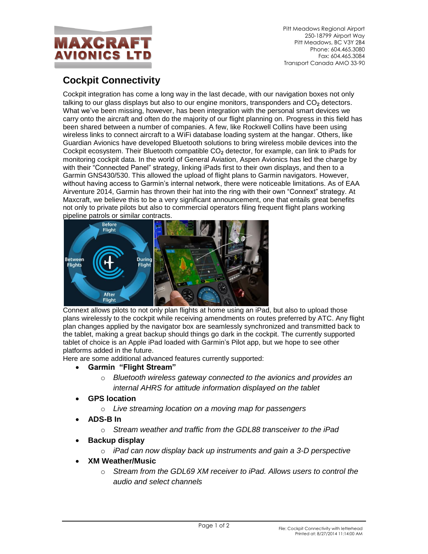

Pitt Meadows Regional Airport 250-18799 Airport Way Pitt Meadows, BC V3Y 2B4 Phone: 604.465.3080 Fax: 604.465.3084 Transport Canada AMO 33-90

## **Cockpit Connectivity**

Cockpit integration has come a long way in the last decade, with our navigation boxes not only talking to our glass displays but also to our engine monitors, transponders and CO<sub>2</sub> detectors. What we've been missing, however, has been integration with the personal smart devices we carry onto the aircraft and often do the majority of our flight planning on. Progress in this field has been shared between a number of companies. A few, like Rockwell Collins have been using wireless links to connect aircraft to a WiFi database loading system at the hangar. Others, like Guardian Avionics have developed Bluetooth solutions to bring wireless mobile devices into the Cockpit ecosystem. Their Bluetooth compatible CO**<sup>2</sup>** detector, for example, can link to iPads for monitoring cockpit data. In the world of General Aviation, Aspen Avionics has led the charge by with their "Connected Panel" strategy, linking iPads first to their own displays, and then to a Garmin GNS430/530. This allowed the upload of flight plans to Garmin navigators. However, without having access to Garmin's internal network, there were noticeable limitations. As of EAA Airventure 2014, Garmin has thrown their hat into the ring with their own "Connext" strategy. At Maxcraft, we believe this to be a very significant announcement, one that entails great benefits not only to private pilots but also to commercial operators filing frequent flight plans working pipeline patrols or similar contracts.



Connext allows pilots to not only plan flights at home using an iPad, but also to upload those plans wirelessly to the cockpit while receiving amendments on routes preferred by ATC. Any flight plan changes applied by the navigator box are seamlessly synchronized and transmitted back to the tablet, making a great backup should things go dark in the cockpit. The currently supported tablet of choice is an Apple iPad loaded with Garmin's Pilot app, but we hope to see other platforms added in the future.

Here are some additional advanced features currently supported:

## **Garmin "Flight Stream"**

- o *Bluetooth wireless gateway connected to the avionics and provides an internal AHRS for attitude information displayed on the tablet*
- **GPS location**
	- o *Live streaming location on a moving map for passengers*
- **ADS-B In**
	- o *Stream weather and traffic from the GDL88 transceiver to the iPad*
- **Backup display**
	- o *iPad can now display back up instruments and gain a 3-D perspective*
- **XM Weather/Music**
	- o *Stream from the GDL69 XM receiver to iPad. Allows users to control the audio and select channels*